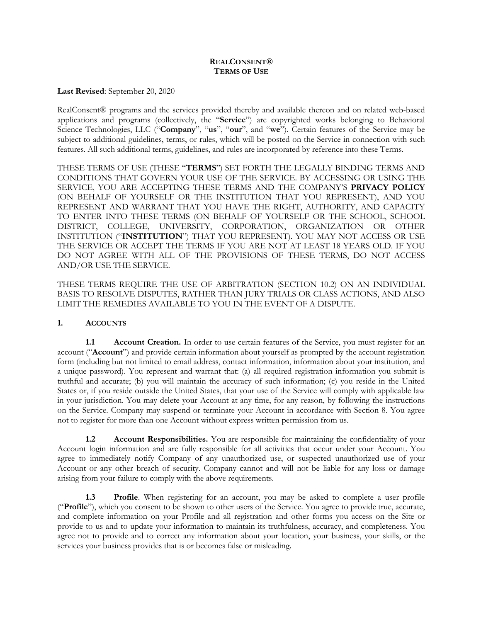### **REALCONSENT® TERMS OF USE**

**Last Revised**: September 20, 2020

RealConsent® programs and the services provided thereby and available thereon and on related web-based applications and programs (collectively, the "**Service**") are copyrighted works belonging to Behavioral Science Technologies, LLC ("**Company**", "**us**", "**our**", and "**we**"). Certain features of the Service may be subject to additional guidelines, terms, or rules, which will be posted on the Service in connection with such features. All such additional terms, guidelines, and rules are incorporated by reference into these Terms.

THESE TERMS OF USE (THESE "**TERMS**") SET FORTH THE LEGALLY BINDING TERMS AND CONDITIONS THAT GOVERN YOUR USE OF THE SERVICE. BY ACCESSING OR USING THE SERVICE, YOU ARE ACCEPTING THESE TERMS AND THE COMPANY'S **PRIVACY POLICY** (ON BEHALF OF YOURSELF OR THE INSTITUTION THAT YOU REPRESENT), AND YOU REPRESENT AND WARRANT THAT YOU HAVE THE RIGHT, AUTHORITY, AND CAPACITY TO ENTER INTO THESE TERMS (ON BEHALF OF YOURSELF OR THE SCHOOL, SCHOOL DISTRICT, COLLEGE, UNIVERSITY, CORPORATION, ORGANIZATION OR OTHER INSTITUTION ("**INSTITUTION**") THAT YOU REPRESENT). YOU MAY NOT ACCESS OR USE THE SERVICE OR ACCEPT THE TERMS IF YOU ARE NOT AT LEAST 18 YEARS OLD. IF YOU DO NOT AGREE WITH ALL OF THE PROVISIONS OF THESE TERMS, DO NOT ACCESS AND/OR USE THE SERVICE.

THESE TERMS REQUIRE THE USE OF ARBITRATION (SECTION 10.2) ON AN INDIVIDUAL BASIS TO RESOLVE DISPUTES, RATHER THAN JURY TRIALS OR CLASS ACTIONS, AND ALSO LIMIT THE REMEDIES AVAILABLE TO YOU IN THE EVENT OF A DISPUTE.

## **1. ACCOUNTS**

**1.1 Account Creation.** In order to use certain features of the Service, you must register for an account ("**Account**") and provide certain information about yourself as prompted by the account registration form (including but not limited to email address, contact information, information about your institution, and a unique password). You represent and warrant that: (a) all required registration information you submit is truthful and accurate; (b) you will maintain the accuracy of such information; (c) you reside in the United States or, if you reside outside the United States, that your use of the Service will comply with applicable law in your jurisdiction. You may delete your Account at any time, for any reason, by following the instructions on the Service. Company may suspend or terminate your Account in accordance with Section 8. You agree not to register for more than one Account without express written permission from us.

**1.2 Account Responsibilities.** You are responsible for maintaining the confidentiality of your Account login information and are fully responsible for all activities that occur under your Account. You agree to immediately notify Company of any unauthorized use, or suspected unauthorized use of your Account or any other breach of security. Company cannot and will not be liable for any loss or damage arising from your failure to comply with the above requirements.

**1.3 Profile**. When registering for an account, you may be asked to complete a user profile ("**Profile**"), which you consent to be shown to other users of the Service. You agree to provide true, accurate, and complete information on your Profile and all registration and other forms you access on the Site or provide to us and to update your information to maintain its truthfulness, accuracy, and completeness. You agree not to provide and to correct any information about your location, your business, your skills, or the services your business provides that is or becomes false or misleading.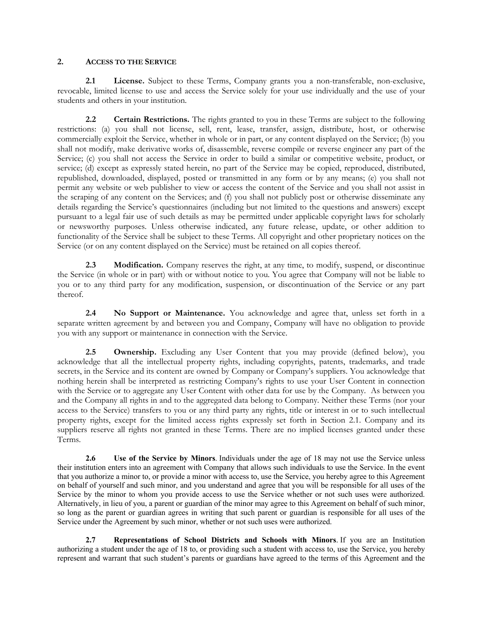#### **2. ACCESS TO THE SERVICE**

**2.1 License.** Subject to these Terms, Company grants you a non-transferable, non-exclusive, revocable, limited license to use and access the Service solely for your use individually and the use of your students and others in your institution.

**2.2 Certain Restrictions.** The rights granted to you in these Terms are subject to the following restrictions: (a) you shall not license, sell, rent, lease, transfer, assign, distribute, host, or otherwise commercially exploit the Service, whether in whole or in part, or any content displayed on the Service; (b) you shall not modify, make derivative works of, disassemble, reverse compile or reverse engineer any part of the Service; (c) you shall not access the Service in order to build a similar or competitive website, product, or service; (d) except as expressly stated herein, no part of the Service may be copied, reproduced, distributed, republished, downloaded, displayed, posted or transmitted in any form or by any means; (e) you shall not permit any website or web publisher to view or access the content of the Service and you shall not assist in the scraping of any content on the Services; and (f) you shall not publicly post or otherwise disseminate any details regarding the Service's questionnaires (including but not limited to the questions and answers) except pursuant to a legal fair use of such details as may be permitted under applicable copyright laws for scholarly or newsworthy purposes. Unless otherwise indicated, any future release, update, or other addition to functionality of the Service shall be subject to these Terms. All copyright and other proprietary notices on the Service (or on any content displayed on the Service) must be retained on all copies thereof.

**2.3 Modification.** Company reserves the right, at any time, to modify, suspend, or discontinue the Service (in whole or in part) with or without notice to you. You agree that Company will not be liable to you or to any third party for any modification, suspension, or discontinuation of the Service or any part thereof.

**2.4 No Support or Maintenance.** You acknowledge and agree that, unless set forth in a separate written agreement by and between you and Company, Company will have no obligation to provide you with any support or maintenance in connection with the Service.

2.5 **Ownership.** Excluding any User Content that you may provide (defined below), you acknowledge that all the intellectual property rights, including copyrights, patents, trademarks, and trade secrets, in the Service and its content are owned by Company or Company's suppliers. You acknowledge that nothing herein shall be interpreted as restricting Company's rights to use your User Content in connection with the Service or to aggregate any User Content with other data for use by the Company. As between you and the Company all rights in and to the aggregated data belong to Company. Neither these Terms (nor your access to the Service) transfers to you or any third party any rights, title or interest in or to such intellectual property rights, except for the limited access rights expressly set forth in Section 2.1. Company and its suppliers reserve all rights not granted in these Terms. There are no implied licenses granted under these Terms.

**2.6 Use of the Service by Minors**. Individuals under the age of 18 may not use the Service unless their institution enters into an agreement with Company that allows such individuals to use the Service. In the event that you authorize a minor to, or provide a minor with access to, use the Service, you hereby agree to this Agreement on behalf of yourself and such minor, and you understand and agree that you will be responsible for all uses of the Service by the minor to whom you provide access to use the Service whether or not such uses were authorized. Alternatively, in lieu of you, a parent or guardian of the minor may agree to this Agreement on behalf of such minor, so long as the parent or guardian agrees in writing that such parent or guardian is responsible for all uses of the Service under the Agreement by such minor, whether or not such uses were authorized.

**2.7 Representations of School Districts and Schools with Minors**. If you are an Institution authorizing a student under the age of 18 to, or providing such a student with access to, use the Service, you hereby represent and warrant that such student's parents or guardians have agreed to the terms of this Agreement and the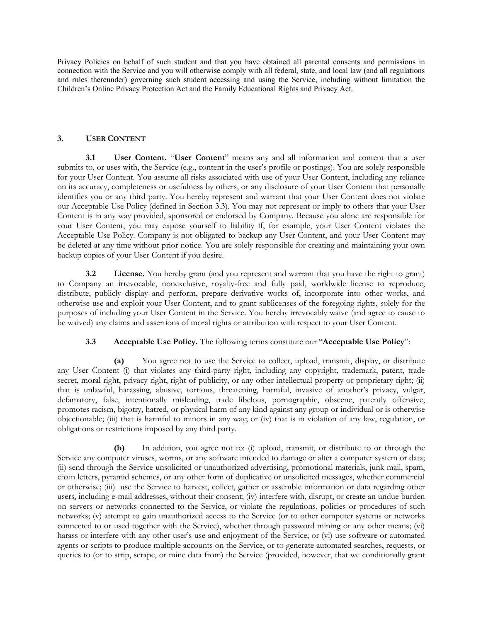Privacy Policies on behalf of such student and that you have obtained all parental consents and permissions in connection with the Service and you will otherwise comply with all federal, state, and local law (and all regulations and rules thereunder) governing such student accessing and using the Service, including without limitation the Children's Online Privacy Protection Act and the Family Educational Rights and Privacy Act.

## **3. USER CONTENT**

**3.1 User Content.** "**User Content**" means any and all information and content that a user submits to, or uses with, the Service (e.g., content in the user's profile or postings). You are solely responsible for your User Content. You assume all risks associated with use of your User Content, including any reliance on its accuracy, completeness or usefulness by others, or any disclosure of your User Content that personally identifies you or any third party. You hereby represent and warrant that your User Content does not violate our Acceptable Use Policy (defined in Section 3.3). You may not represent or imply to others that your User Content is in any way provided, sponsored or endorsed by Company. Because you alone are responsible for your User Content, you may expose yourself to liability if, for example, your User Content violates the Acceptable Use Policy. Company is not obligated to backup any User Content, and your User Content may be deleted at any time without prior notice. You are solely responsible for creating and maintaining your own backup copies of your User Content if you desire.

**3.2 License.** You hereby grant (and you represent and warrant that you have the right to grant) to Company an irrevocable, nonexclusive, royalty-free and fully paid, worldwide license to reproduce, distribute, publicly display and perform, prepare derivative works of, incorporate into other works, and otherwise use and exploit your User Content, and to grant sublicenses of the foregoing rights, solely for the purposes of including your User Content in the Service. You hereby irrevocably waive (and agree to cause to be waived) any claims and assertions of moral rights or attribution with respect to your User Content.

# **3.3 Acceptable Use Policy.** The following terms constitute our "**Acceptable Use Policy**":

**(a)** You agree not to use the Service to collect, upload, transmit, display, or distribute any User Content (i) that violates any third-party right, including any copyright, trademark, patent, trade secret, moral right, privacy right, right of publicity, or any other intellectual property or proprietary right; (ii) that is unlawful, harassing, abusive, tortious, threatening, harmful, invasive of another's privacy, vulgar, defamatory, false, intentionally misleading, trade libelous, pornographic, obscene, patently offensive, promotes racism, bigotry, hatred, or physical harm of any kind against any group or individual or is otherwise objectionable; (iii) that is harmful to minors in any way; or (iv) that is in violation of any law, regulation, or obligations or restrictions imposed by any third party.

**(b)** In addition, you agree not to: (i) upload, transmit, or distribute to or through the Service any computer viruses, worms, or any software intended to damage or alter a computer system or data; (ii) send through the Service unsolicited or unauthorized advertising, promotional materials, junk mail, spam, chain letters, pyramid schemes, or any other form of duplicative or unsolicited messages, whether commercial or otherwise; (iii) use the Service to harvest, collect, gather or assemble information or data regarding other users, including e-mail addresses, without their consent; (iv) interfere with, disrupt, or create an undue burden on servers or networks connected to the Service, or violate the regulations, policies or procedures of such networks; (v) attempt to gain unauthorized access to the Service (or to other computer systems or networks connected to or used together with the Service), whether through password mining or any other means; (vi) harass or interfere with any other user's use and enjoyment of the Service; or (vi) use software or automated agents or scripts to produce multiple accounts on the Service, or to generate automated searches, requests, or queries to (or to strip, scrape, or mine data from) the Service (provided, however, that we conditionally grant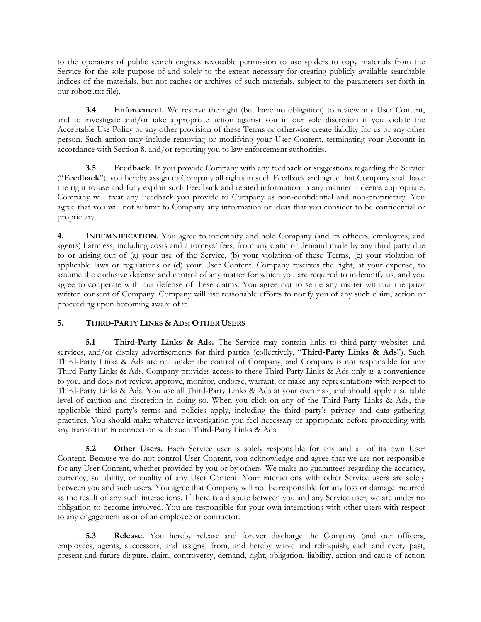to the operators of public search engines revocable permission to use spiders to copy materials from the Service for the sole purpose of and solely to the extent necessary for creating publicly available searchable indices of the materials, but not caches or archives of such materials, subject to the parameters set forth in our robots.txt file).

**3.4 Enforcement.** We reserve the right (but have no obligation) to review any User Content, and to investigate and/or take appropriate action against you in our sole discretion if you violate the Acceptable Use Policy or any other provision of these Terms or otherwise create liability for us or any other person. Such action may include removing or modifying your User Content, terminating your Account in accordance with Section 8, and/or reporting you to law enforcement authorities.

**3.5 Feedback.** If you provide Company with any feedback or suggestions regarding the Service ("**Feedback**"), you hereby assign to Company all rights in such Feedback and agree that Company shall have the right to use and fully exploit such Feedback and related information in any manner it deems appropriate. Company will treat any Feedback you provide to Company as non-confidential and non-proprietary. You agree that you will not submit to Company any information or ideas that you consider to be confidential or proprietary.

**4. INDEMNIFICATION.** You agree to indemnify and hold Company (and its officers, employees, and agents) harmless, including costs and attorneys' fees, from any claim or demand made by any third party due to or arising out of (a) your use of the Service, (b) your violation of these Terms, (c) your violation of applicable laws or regulations or (d) your User Content. Company reserves the right, at your expense, to assume the exclusive defense and control of any matter for which you are required to indemnify us, and you agree to cooperate with our defense of these claims. You agree not to settle any matter without the prior written consent of Company. Company will use reasonable efforts to notify you of any such claim, action or proceeding upon becoming aware of it.

# **5. THIRD-PARTY LINKS & ADS; OTHER USERS**

**5.1 Third-Party Links & Ads.** The Service may contain links to third-party websites and services, and/or display advertisements for third parties (collectively, "**Third-Party Links & Ads**"). Such Third-Party Links & Ads are not under the control of Company, and Company is not responsible for any Third-Party Links & Ads. Company provides access to these Third-Party Links & Ads only as a convenience to you, and does not review, approve, monitor, endorse, warrant, or make any representations with respect to Third-Party Links & Ads. You use all Third-Party Links & Ads at your own risk, and should apply a suitable level of caution and discretion in doing so. When you click on any of the Third-Party Links & Ads, the applicable third party's terms and policies apply, including the third party's privacy and data gathering practices. You should make whatever investigation you feel necessary or appropriate before proceeding with any transaction in connection with such Third-Party Links & Ads.

**5.2 Other Users.** Each Service user is solely responsible for any and all of its own User Content. Because we do not control User Content, you acknowledge and agree that we are not responsible for any User Content, whether provided by you or by others. We make no guarantees regarding the accuracy, currency, suitability, or quality of any User Content. Your interactions with other Service users are solely between you and such users. You agree that Company will not be responsible for any loss or damage incurred as the result of any such interactions. If there is a dispute between you and any Service user, we are under no obligation to become involved. You are responsible for your own interactions with other users with respect to any engagement as or of an employee or contractor.

**5.3 Release.** You hereby release and forever discharge the Company (and our officers, employees, agents, successors, and assigns) from, and hereby waive and relinquish, each and every past, present and future dispute, claim, controversy, demand, right, obligation, liability, action and cause of action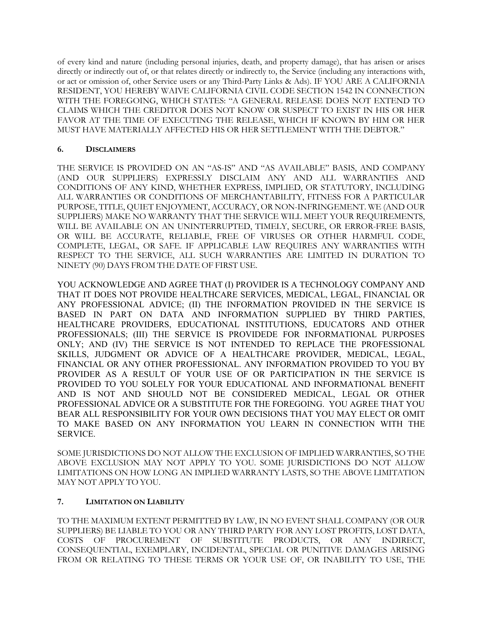of every kind and nature (including personal injuries, death, and property damage), that has arisen or arises directly or indirectly out of, or that relates directly or indirectly to, the Service (including any interactions with, or act or omission of, other Service users or any Third-Party Links & Ads). IF YOU ARE A CALIFORNIA RESIDENT, YOU HEREBY WAIVE CALIFORNIA CIVIL CODE SECTION 1542 IN CONNECTION WITH THE FOREGOING, WHICH STATES: "A GENERAL RELEASE DOES NOT EXTEND TO CLAIMS WHICH THE CREDITOR DOES NOT KNOW OR SUSPECT TO EXIST IN HIS OR HER FAVOR AT THE TIME OF EXECUTING THE RELEASE, WHICH IF KNOWN BY HIM OR HER MUST HAVE MATERIALLY AFFECTED HIS OR HER SETTLEMENT WITH THE DEBTOR."

## **6. DISCLAIMERS**

THE SERVICE IS PROVIDED ON AN "AS-IS" AND "AS AVAILABLE" BASIS, AND COMPANY (AND OUR SUPPLIERS) EXPRESSLY DISCLAIM ANY AND ALL WARRANTIES AND CONDITIONS OF ANY KIND, WHETHER EXPRESS, IMPLIED, OR STATUTORY, INCLUDING ALL WARRANTIES OR CONDITIONS OF MERCHANTABILITY, FITNESS FOR A PARTICULAR PURPOSE, TITLE, QUIET ENJOYMENT, ACCURACY, OR NON-INFRINGEMENT. WE (AND OUR SUPPLIERS) MAKE NO WARRANTY THAT THE SERVICE WILL MEET YOUR REQUIREMENTS, WILL BE AVAILABLE ON AN UNINTERRUPTED, TIMELY, SECURE, OR ERROR-FREE BASIS, OR WILL BE ACCURATE, RELIABLE, FREE OF VIRUSES OR OTHER HARMFUL CODE, COMPLETE, LEGAL, OR SAFE. IF APPLICABLE LAW REQUIRES ANY WARRANTIES WITH RESPECT TO THE SERVICE, ALL SUCH WARRANTIES ARE LIMITED IN DURATION TO NINETY (90) DAYS FROM THE DATE OF FIRST USE.

YOU ACKNOWLEDGE AND AGREE THAT (I) PROVIDER IS A TECHNOLOGY COMPANY AND THAT IT DOES NOT PROVIDE HEALTHCARE SERVICES, MEDICAL, LEGAL, FINANCIAL OR ANY PROFESSIONAL ADVICE; (II) THE INFORMATION PROVIDED IN THE SERVICE IS BASED IN PART ON DATA AND INFORMATION SUPPLIED BY THIRD PARTIES, HEALTHCARE PROVIDERS, EDUCATIONAL INSTITUTIONS, EDUCATORS AND OTHER PROFESSIONALS; (III) THE SERVICE IS PROVIDEDE FOR INFORMATIONAL PURPOSES ONLY; AND (IV) THE SERVICE IS NOT INTENDED TO REPLACE THE PROFESSIONAL SKILLS, JUDGMENT OR ADVICE OF A HEALTHCARE PROVIDER, MEDICAL, LEGAL, FINANCIAL OR ANY OTHER PROFESSIONAL. ANY INFORMATION PROVIDED TO YOU BY PROVIDER AS A RESULT OF YOUR USE OF OR PARTICIPATION IN THE SERVICE IS PROVIDED TO YOU SOLELY FOR YOUR EDUCATIONAL AND INFORMATIONAL BENEFIT AND IS NOT AND SHOULD NOT BE CONSIDERED MEDICAL, LEGAL OR OTHER PROFESSIONAL ADVICE OR A SUBSTITUTE FOR THE FOREGOING. YOU AGREE THAT YOU BEAR ALL RESPONSIBILITY FOR YOUR OWN DECISIONS THAT YOU MAY ELECT OR OMIT TO MAKE BASED ON ANY INFORMATION YOU LEARN IN CONNECTION WITH THE SERVICE.

SOME JURISDICTIONS DO NOT ALLOW THE EXCLUSION OF IMPLIED WARRANTIES, SO THE ABOVE EXCLUSION MAY NOT APPLY TO YOU. SOME JURISDICTIONS DO NOT ALLOW LIMITATIONS ON HOW LONG AN IMPLIED WARRANTY LASTS, SO THE ABOVE LIMITATION MAY NOT APPLY TO YOU.

# **7. LIMITATION ON LIABILITY**

TO THE MAXIMUM EXTENT PERMITTED BY LAW, IN NO EVENT SHALL COMPANY (OR OUR SUPPLIERS) BE LIABLE TO YOU OR ANY THIRD PARTY FOR ANY LOST PROFITS, LOST DATA, COSTS OF PROCUREMENT OF SUBSTITUTE PRODUCTS, OR ANY INDIRECT, CONSEQUENTIAL, EXEMPLARY, INCIDENTAL, SPECIAL OR PUNITIVE DAMAGES ARISING FROM OR RELATING TO THESE TERMS OR YOUR USE OF, OR INABILITY TO USE, THE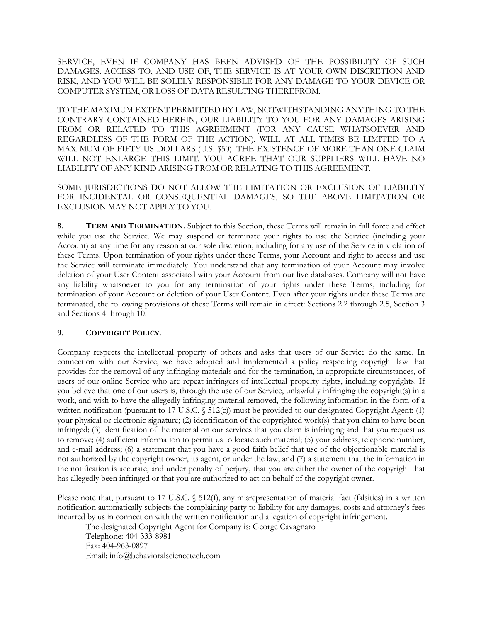SERVICE, EVEN IF COMPANY HAS BEEN ADVISED OF THE POSSIBILITY OF SUCH DAMAGES. ACCESS TO, AND USE OF, THE SERVICE IS AT YOUR OWN DISCRETION AND RISK, AND YOU WILL BE SOLELY RESPONSIBLE FOR ANY DAMAGE TO YOUR DEVICE OR COMPUTER SYSTEM, OR LOSS OF DATA RESULTING THEREFROM.

TO THE MAXIMUM EXTENT PERMITTED BY LAW, NOTWITHSTANDING ANYTHING TO THE CONTRARY CONTAINED HEREIN, OUR LIABILITY TO YOU FOR ANY DAMAGES ARISING FROM OR RELATED TO THIS AGREEMENT (FOR ANY CAUSE WHATSOEVER AND REGARDLESS OF THE FORM OF THE ACTION), WILL AT ALL TIMES BE LIMITED TO A MAXIMUM OF FIFTY US DOLLARS (U.S. \$50). THE EXISTENCE OF MORE THAN ONE CLAIM WILL NOT ENLARGE THIS LIMIT. YOU AGREE THAT OUR SUPPLIERS WILL HAVE NO LIABILITY OF ANY KIND ARISING FROM OR RELATING TO THIS AGREEMENT.

SOME JURISDICTIONS DO NOT ALLOW THE LIMITATION OR EXCLUSION OF LIABILITY FOR INCIDENTAL OR CONSEQUENTIAL DAMAGES, SO THE ABOVE LIMITATION OR EXCLUSION MAY NOT APPLY TO YOU.

**8. TERM AND TERMINATION.** Subject to this Section, these Terms will remain in full force and effect while you use the Service. We may suspend or terminate your rights to use the Service (including your Account) at any time for any reason at our sole discretion, including for any use of the Service in violation of these Terms. Upon termination of your rights under these Terms, your Account and right to access and use the Service will terminate immediately. You understand that any termination of your Account may involve deletion of your User Content associated with your Account from our live databases. Company will not have any liability whatsoever to you for any termination of your rights under these Terms, including for termination of your Account or deletion of your User Content. Even after your rights under these Terms are terminated, the following provisions of these Terms will remain in effect: Sections 2.2 through 2.5, Section 3 and Sections 4 through 10.

## **9. COPYRIGHT POLICY.**

Company respects the intellectual property of others and asks that users of our Service do the same. In connection with our Service, we have adopted and implemented a policy respecting copyright law that provides for the removal of any infringing materials and for the termination, in appropriate circumstances, of users of our online Service who are repeat infringers of intellectual property rights, including copyrights. If you believe that one of our users is, through the use of our Service, unlawfully infringing the copyright(s) in a work, and wish to have the allegedly infringing material removed, the following information in the form of a written notification (pursuant to 17 U.S.C. § 512(c)) must be provided to our designated Copyright Agent: (1) your physical or electronic signature; (2) identification of the copyrighted work(s) that you claim to have been infringed; (3) identification of the material on our services that you claim is infringing and that you request us to remove; (4) sufficient information to permit us to locate such material; (5) your address, telephone number, and e-mail address; (6) a statement that you have a good faith belief that use of the objectionable material is not authorized by the copyright owner, its agent, or under the law; and (7) a statement that the information in the notification is accurate, and under penalty of perjury, that you are either the owner of the copyright that has allegedly been infringed or that you are authorized to act on behalf of the copyright owner.

Please note that, pursuant to 17 U.S.C. § 512(f), any misrepresentation of material fact (falsities) in a written notification automatically subjects the complaining party to liability for any damages, costs and attorney's fees incurred by us in connection with the written notification and allegation of copyright infringement.

The designated Copyright Agent for Company is: George Cavagnaro Telephone: 404-333-8981 Fax: 404-963-0897 Email: info@behavioralsciencetech.com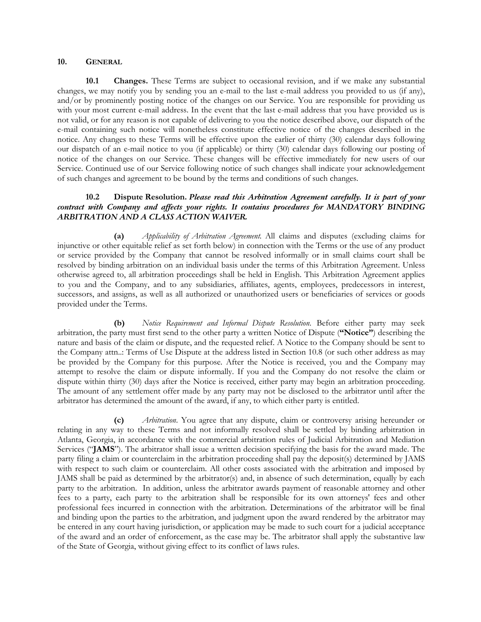#### **10. GENERAL**

**10.1 Changes.** These Terms are subject to occasional revision, and if we make any substantial changes, we may notify you by sending you an e-mail to the last e-mail address you provided to us (if any), and/or by prominently posting notice of the changes on our Service. You are responsible for providing us with your most current e-mail address. In the event that the last e-mail address that you have provided us is not valid, or for any reason is not capable of delivering to you the notice described above, our dispatch of the e-mail containing such notice will nonetheless constitute effective notice of the changes described in the notice. Any changes to these Terms will be effective upon the earlier of thirty (30) calendar days following our dispatch of an e-mail notice to you (if applicable) or thirty (30) calendar days following our posting of notice of the changes on our Service. These changes will be effective immediately for new users of our Service. Continued use of our Service following notice of such changes shall indicate your acknowledgement of such changes and agreement to be bound by the terms and conditions of such changes.

### **10.2 Dispute Resolution.** *Please read this Arbitration Agreement carefully. It is part of your contract with Company and affects your rights. It contains procedures for MANDATORY BINDING ARBITRATION AND A CLASS ACTION WAIVER.*

**(a)** *Applicability of Arbitration Agreement.* All claims and disputes (excluding claims for injunctive or other equitable relief as set forth below) in connection with the Terms or the use of any product or service provided by the Company that cannot be resolved informally or in small claims court shall be resolved by binding arbitration on an individual basis under the terms of this Arbitration Agreement. Unless otherwise agreed to, all arbitration proceedings shall be held in English. This Arbitration Agreement applies to you and the Company, and to any subsidiaries, affiliates, agents, employees, predecessors in interest, successors, and assigns, as well as all authorized or unauthorized users or beneficiaries of services or goods provided under the Terms.

**(b)** *Notice Requirement and Informal Dispute Resolution*. Before either party may seek arbitration, the party must first send to the other party a written Notice of Dispute (**"Notice"**) describing the nature and basis of the claim or dispute, and the requested relief. A Notice to the Company should be sent to the Company attn..: Terms of Use Dispute at the address listed in Section 10.8 (or such other address as may be provided by the Company for this purpose. After the Notice is received, you and the Company may attempt to resolve the claim or dispute informally. If you and the Company do not resolve the claim or dispute within thirty (30) days after the Notice is received, either party may begin an arbitration proceeding. The amount of any settlement offer made by any party may not be disclosed to the arbitrator until after the arbitrator has determined the amount of the award, if any, to which either party is entitled.

**(c)** *Arbitration*. You agree that any dispute, claim or controversy arising hereunder or relating in any way to these Terms and not informally resolved shall be settled by binding arbitration in Atlanta, Georgia, in accordance with the commercial arbitration rules of Judicial Arbitration and Mediation Services ("**JAMS**"). The arbitrator shall issue a written decision specifying the basis for the award made. The party filing a claim or counterclaim in the arbitration proceeding shall pay the deposit(s) determined by JAMS with respect to such claim or counterclaim. All other costs associated with the arbitration and imposed by JAMS shall be paid as determined by the arbitrator(s) and, in absence of such determination, equally by each party to the arbitration. In addition, unless the arbitrator awards payment of reasonable attorney and other fees to a party, each party to the arbitration shall be responsible for its own attorneys' fees and other professional fees incurred in connection with the arbitration. Determinations of the arbitrator will be final and binding upon the parties to the arbitration, and judgment upon the award rendered by the arbitrator may be entered in any court having jurisdiction, or application may be made to such court for a judicial acceptance of the award and an order of enforcement, as the case may be. The arbitrator shall apply the substantive law of the State of Georgia, without giving effect to its conflict of laws rules.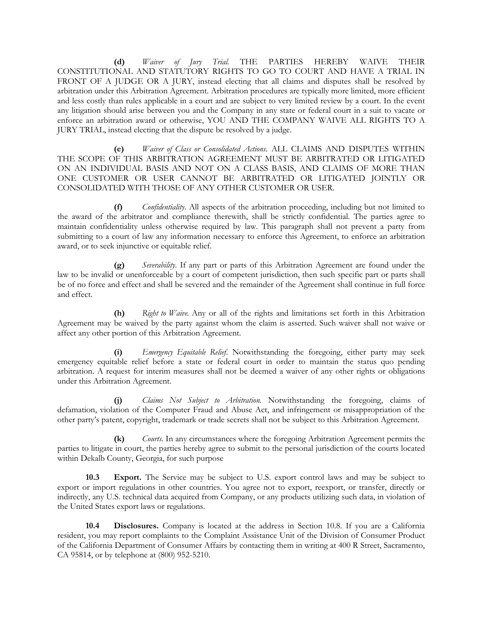**(d)** *Waiver of Jury Trial.* THE PARTIES HEREBY WAIVE THEIR CONSTITUTIONAL AND STATUTORY RIGHTS TO GO TO COURT AND HAVE A TRIAL IN FRONT OF A JUDGE OR A JURY, instead electing that all claims and disputes shall be resolved by arbitration under this Arbitration Agreement. Arbitration procedures are typically more limited, more efficient and less costly than rules applicable in a court and are subject to very limited review by a court. In the event any litigation should arise between you and the Company in any state or federal court in a suit to vacate or enforce an arbitration award or otherwise, YOU AND THE COMPANY WAIVE ALL RIGHTS TO A JURY TRIAL, instead electing that the dispute be resolved by a judge.

**(e)** *Waiver of Class or Consolidated Actions*. ALL CLAIMS AND DISPUTES WITHIN THE SCOPE OF THIS ARBITRATION AGREEMENT MUST BE ARBITRATED OR LITIGATED ON AN INDIVIDUAL BASIS AND NOT ON A CLASS BASIS, AND CLAIMS OF MORE THAN ONE CUSTOMER OR USER CANNOT BE ARBITRATED OR LITIGATED JOINTLY OR CONSOLIDATED WITH THOSE OF ANY OTHER CUSTOMER OR USER.

**(f)** *Confidentiality*. All aspects of the arbitration proceeding, including but not limited to the award of the arbitrator and compliance therewith, shall be strictly confidential. The parties agree to maintain confidentiality unless otherwise required by law. This paragraph shall not prevent a party from submitting to a court of law any information necessary to enforce this Agreement, to enforce an arbitration award, or to seek injunctive or equitable relief.

**(g)** *Severability*. If any part or parts of this Arbitration Agreement are found under the law to be invalid or unenforceable by a court of competent jurisdiction, then such specific part or parts shall be of no force and effect and shall be severed and the remainder of the Agreement shall continue in full force and effect.

**(h)** *Right to Waive.* Any or all of the rights and limitations set forth in this Arbitration Agreement may be waived by the party against whom the claim is asserted. Such waiver shall not waive or affect any other portion of this Arbitration Agreement.

**(i)** *Emergency Equitable Relief*. Notwithstanding the foregoing, either party may seek emergency equitable relief before a state or federal court in order to maintain the status quo pending arbitration. A request for interim measures shall not be deemed a waiver of any other rights or obligations under this Arbitration Agreement.

**(j)** *Claims Not Subject to Arbitration.* Notwithstanding the foregoing, claims of defamation, violation of the Computer Fraud and Abuse Act, and infringement or misappropriation of the other party's patent, copyright, trademark or trade secrets shall not be subject to this Arbitration Agreement.

**(k)** *Courts.* In any circumstances where the foregoing Arbitration Agreement permits the parties to litigate in court, the parties hereby agree to submit to the personal jurisdiction of the courts located within Dekalb County, Georgia, for such purpose

**10.3 Export.** The Service may be subject to U.S. export control laws and may be subject to export or import regulations in other countries. You agree not to export, reexport, or transfer, directly or indirectly, any U.S. technical data acquired from Company, or any products utilizing such data, in violation of the United States export laws or regulations.

**10.4 Disclosures.** Company is located at the address in Section 10.8. If you are a California resident, you may report complaints to the Complaint Assistance Unit of the Division of Consumer Product of the California Department of Consumer Affairs by contacting them in writing at 400 R Street, Sacramento, CA 95814, or by telephone at (800) 952-5210.